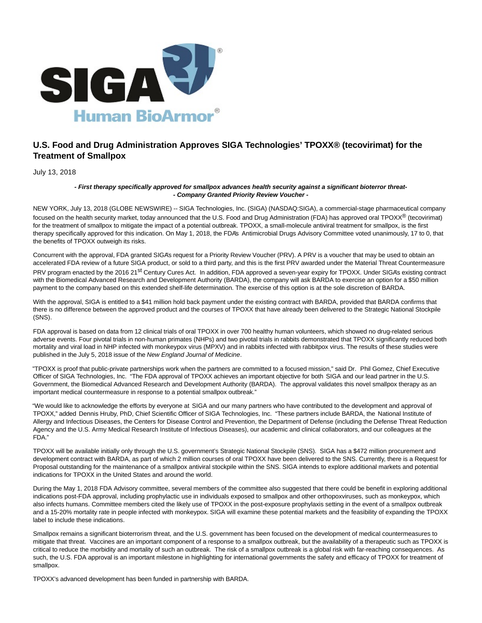

# **U.S. Food and Drug Administration Approves SIGA Technologies' TPOXX® (tecovirimat) for the Treatment of Smallpox**

July 13, 2018

## **- First therapy specifically approved for smallpox advances health security against a significant bioterror threat- - Company Granted Priority Review Voucher -**

NEW YORK, July 13, 2018 (GLOBE NEWSWIRE) -- SIGA Technologies, Inc. (SIGA) (NASDAQ:SIGA), a commercial-stage pharmaceutical company focused on the health security market, today announced that the U.S. Food and Drug Administration (FDA) has approved oral TPOXX® (tecovirimat) for the treatment of smallpox to mitigate the impact of a potential outbreak. TPOXX, a small-molecule antiviral treatment for smallpox, is the first therapy specifically approved for this indication. On May 1, 2018, the FDA's Antimicrobial Drugs Advisory Committee voted unanimously, 17 to 0, that the benefits of TPOXX outweigh its risks.

Concurrent with the approval, FDA granted SIGA's request for a Priority Review Voucher (PRV). A PRV is a voucher that may be used to obtain an accelerated FDA review of a future SIGA product, or sold to a third party, and this is the first PRV awarded under the Material Threat Countermeasure PRV program enacted by the 2016 21<sup>st</sup> Century Cures Act. In addition, FDA approved a seven-year expiry for TPOXX. Under SIGA's existing contract with the Biomedical Advanced Research and Development Authority (BARDA), the company will ask BARDA to exercise an option for a \$50 million payment to the company based on this extended shelf-life determination. The exercise of this option is at the sole discretion of BARDA.

With the approval, SIGA is entitled to a \$41 million hold back payment under the existing contract with BARDA, provided that BARDA confirms that there is no difference between the approved product and the courses of TPOXX that have already been delivered to the Strategic National Stockpile (SNS).

FDA approval is based on data from 12 clinical trials of oral TPOXX in over 700 healthy human volunteers, which showed no drug-related serious adverse events. Four pivotal trials in non-human primates (NHPs) and two pivotal trials in rabbits demonstrated that TPOXX significantly reduced both mortality and viral load in NHP infected with monkeypox virus (MPXV) and in rabbits infected with rabbitpox virus. The results of these studies were published in the July 5, 2018 issue of the New England Journal of Medicine.

"TPOXX is proof that public-private partnerships work when the partners are committed to a focused mission," said Dr. Phil Gomez, Chief Executive Officer of SIGA Technologies, Inc. "The FDA approval of TPOXX achieves an important objective for both SIGA and our lead partner in the U.S. Government, the Biomedical Advanced Research and Development Authority (BARDA). The approval validates this novel smallpox therapy as an important medical countermeasure in response to a potential smallpox outbreak."

"We would like to acknowledge the efforts by everyone at SIGA and our many partners who have contributed to the development and approval of TPOXX," added Dennis Hruby, PhD, Chief Scientific Officer of SIGA Technologies, Inc. "These partners include BARDA, the National Institute of Allergy and Infectious Diseases, the Centers for Disease Control and Prevention, the Department of Defense (including the Defense Threat Reduction Agency and the U.S. Army Medical Research Institute of Infectious Diseases), our academic and clinical collaborators, and our colleagues at the FDA."

TPOXX will be available initially only through the U.S. government's Strategic National Stockpile (SNS). SIGA has a \$472 million procurement and development contract with BARDA, as part of which 2 million courses of oral TPOXX have been delivered to the SNS. Currently, there is a Request for Proposal outstanding for the maintenance of a smallpox antiviral stockpile within the SNS. SIGA intends to explore additional markets and potential indications for TPOXX in the United States and around the world.

During the May 1, 2018 FDA Advisory committee, several members of the committee also suggested that there could be benefit in exploring additional indications post-FDA approval, including prophylactic use in individuals exposed to smallpox and other orthopoxviruses, such as monkeypox, which also infects humans. Committee members cited the likely use of TPOXX in the post-exposure prophylaxis setting in the event of a smallpox outbreak and a 15-20% mortality rate in people infected with monkeypox. SIGA will examine these potential markets and the feasibility of expanding the TPOXX label to include these indications.

Smallpox remains a significant bioterrorism threat, and the U.S. government has been focused on the development of medical countermeasures to mitigate that threat. Vaccines are an important component of a response to a smallpox outbreak, but the availability of a therapeutic such as TPOXX is critical to reduce the morbidity and mortality of such an outbreak. The risk of a smallpox outbreak is a global risk with far-reaching consequences. As such, the U.S. FDA approval is an important milestone in highlighting for international governments the safety and efficacy of TPOXX for treatment of smallpox.

TPOXX's advanced development has been funded in partnership with BARDA.